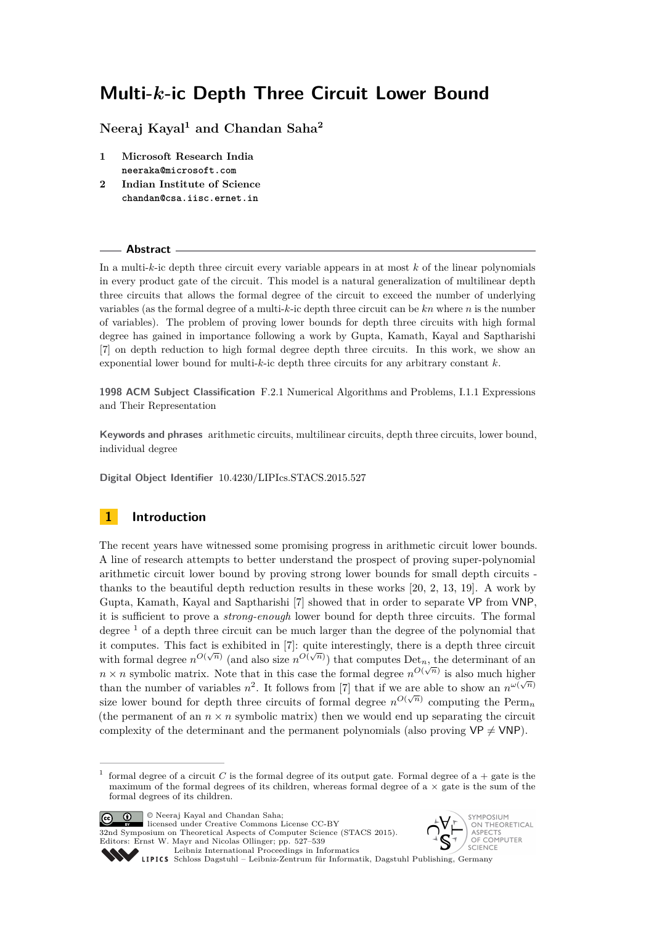**Neeraj Kayal<sup>1</sup> and Chandan Saha<sup>2</sup>**

- **1 Microsoft Research India neeraka@microsoft.com**
- **2 Indian Institute of Science chandan@csa.iisc.ernet.in**

#### **Abstract**

In a multi-*k*-ic depth three circuit every variable appears in at most *k* of the linear polynomials in every product gate of the circuit. This model is a natural generalization of multilinear depth three circuits that allows the formal degree of the circuit to exceed the number of underlying variables (as the formal degree of a multi-*k*-ic depth three circuit can be *kn* where *n* is the number of variables). The problem of proving lower bounds for depth three circuits with high formal degree has gained in importance following a work by Gupta, Kamath, Kayal and Saptharishi [\[7\]](#page-11-0) on depth reduction to high formal degree depth three circuits. In this work, we show an exponential lower bound for multi-*k*-ic depth three circuits for any arbitrary constant *k*.

**1998 ACM Subject Classification** F.2.1 Numerical Algorithms and Problems, I.1.1 Expressions and Their Representation

**Keywords and phrases** arithmetic circuits, multilinear circuits, depth three circuits, lower bound, individual degree

**Digital Object Identifier** [10.4230/LIPIcs.STACS.2015.527](http://dx.doi.org/10.4230/LIPIcs.STACS.2015.527)

# **1 Introduction**

The recent years have witnessed some promising progress in arithmetic circuit lower bounds. A line of research attempts to better understand the prospect of proving super-polynomial arithmetic circuit lower bound by proving strong lower bounds for small depth circuits thanks to the beautiful depth reduction results in these works [\[20,](#page-12-0) [2,](#page-11-1) [13,](#page-11-2) [19\]](#page-12-1). A work by Gupta, Kamath, Kayal and Saptharishi [\[7\]](#page-11-0) showed that in order to separate VP from VNP, it is sufficient to prove a *strong-enough* lower bound for depth three circuits. The formal degree  $<sup>1</sup>$  $<sup>1</sup>$  $<sup>1</sup>$  of a depth three circuit can be much larger than the degree of the polynomial that</sup> it computes. This fact is exhibited in [\[7\]](#page-11-0): quite interestingly, there is a depth three circuit with formal degree  $n^{O(\sqrt{n})}$  (and also size  $n^{O(\sqrt{n})}$ ) that computes Det<sub>n</sub>, the determinant of an  $n \times n$  symbolic matrix. Note that in this case the formal degree  $n^{O(\sqrt{n})}$  is also much higher than the number of variables  $n^2$ . It follows from [\[7\]](#page-11-0) that if we are able to show an  $n^{\omega(\sqrt{n})}$ size lower bound for depth three circuits of formal degree  $n^{O(\sqrt{n})}$  computing the Perm<sub>n</sub> (the permanent of an  $n \times n$  symbolic matrix) then we would end up separating the circuit complexity of the determinant and the permanent polynomials (also proving  $VP \neq VNP$ ).

© Neeraj Kayal and Chandan Saha; licensed under Creative Commons License CC-BY

32nd Symposium on Theoretical Aspects of Computer Science (STACS 2015). Editors: Ernst W. Mayr and Nicolas Ollinger; pp. 527[–539](#page-12-2)





<span id="page-0-0"></span><sup>1</sup> formal degree of a circuit  $C$  is the formal degree of its output gate. Formal degree of  $a + g$ ate is the maximum of the formal degrees of its children, whereas formal degree of  $a \times g$ ate is the sum of the formal degrees of its children.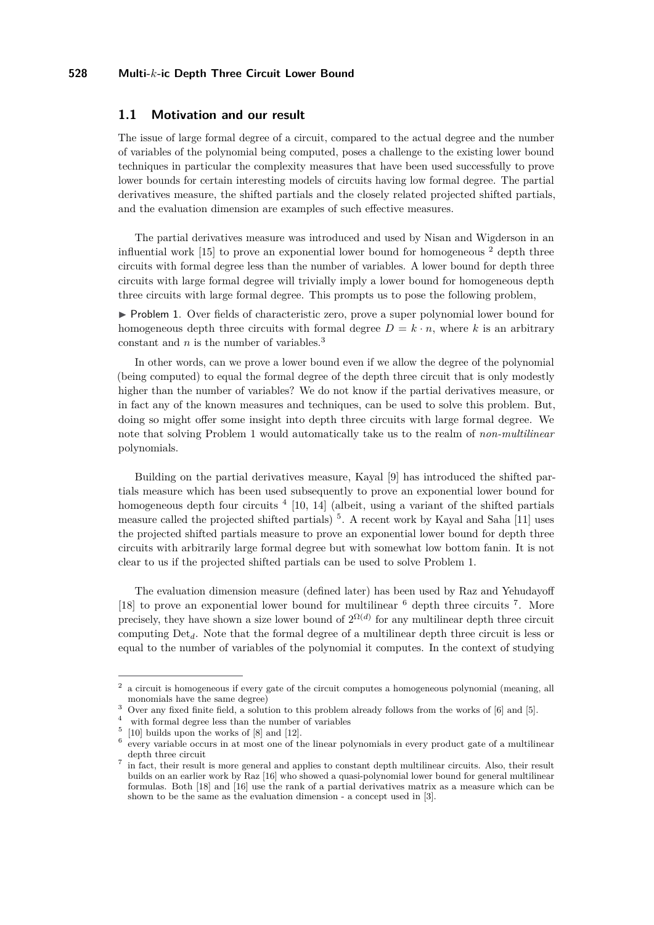## **1.1 Motivation and our result**

The issue of large formal degree of a circuit, compared to the actual degree and the number of variables of the polynomial being computed, poses a challenge to the existing lower bound techniques in particular the complexity measures that have been used successfully to prove lower bounds for certain interesting models of circuits having low formal degree. The partial derivatives measure, the shifted partials and the closely related projected shifted partials, and the evaluation dimension are examples of such effective measures.

The partial derivatives measure was introduced and used by Nisan and Wigderson in an influential work  $[15]$  to prove an exponential lower bound for homogeneous  $^2$  $^2$  depth three circuits with formal degree less than the number of variables. A lower bound for depth three circuits with large formal degree will trivially imply a lower bound for homogeneous depth three circuits with large formal degree. This prompts us to pose the following problem,

<span id="page-1-2"></span>▶ Problem 1. Over fields of characteristic zero, prove a super polynomial lower bound for homogeneous depth three circuits with formal degree  $D = k \cdot n$ , where k is an arbitrary constant and *n* is the number of variables.[3](#page-1-1)

In other words, can we prove a lower bound even if we allow the degree of the polynomial (being computed) to equal the formal degree of the depth three circuit that is only modestly higher than the number of variables? We do not know if the partial derivatives measure, or in fact any of the known measures and techniques, can be used to solve this problem. But, doing so might offer some insight into depth three circuits with large formal degree. We note that solving Problem [1](#page-1-2) would automatically take us to the realm of *non-multilinear* polynomials.

Building on the partial derivatives measure, Kayal [\[9\]](#page-11-3) has introduced the shifted partials measure which has been used subsequently to prove an exponential lower bound for homogeneous depth four circuits <sup>[4](#page-1-3)</sup> [\[10,](#page-11-4) [14\]](#page-11-5) (albeit, using a variant of the shifted partials measure called the projected shifted partials)<sup>[5](#page-1-4)</sup>. A recent work by Kayal and Saha [\[11\]](#page-11-6) uses the projected shifted partials measure to prove an exponential lower bound for depth three circuits with arbitrarily large formal degree but with somewhat low bottom fanin. It is not clear to us if the projected shifted partials can be used to solve Problem [1.](#page-1-2)

The evaluation dimension measure (defined later) has been used by Raz and Yehudayoff [\[18\]](#page-12-4) to prove an exponential lower bound for multilinear  $<sup>6</sup>$  $<sup>6</sup>$  $<sup>6</sup>$  depth three circuits  $<sup>7</sup>$  $<sup>7</sup>$  $<sup>7</sup>$ . More</sup></sup> precisely, they have shown a size lower bound of  $2^{\Omega(d)}$  for any multilinear depth three circuit computing Det*d*. Note that the formal degree of a multilinear depth three circuit is less or equal to the number of variables of the polynomial it computes. In the context of studying

<span id="page-1-0"></span><sup>2</sup> a circuit is homogeneous if every gate of the circuit computes a homogeneous polynomial (meaning, all monomials have the same degree)

<span id="page-1-1"></span><sup>&</sup>lt;sup>3</sup> Over any fixed finite field, a solution to this problem already follows from the works of [\[6\]](#page-11-7) and [\[5\]](#page-11-8).

<span id="page-1-3"></span><sup>4</sup> with formal degree less than the number of variables

<span id="page-1-4"></span> $5\;$  [\[10\]](#page-11-4) builds upon the works of [\[8\]](#page-11-9) and [\[12\]](#page-11-10).

<span id="page-1-5"></span><sup>6</sup> every variable occurs in at most one of the linear polynomials in every product gate of a multilinear depth three circuit

<span id="page-1-6"></span><sup>7</sup> in fact, their result is more general and applies to constant depth multilinear circuits. Also, their result builds on an earlier work by Raz [\[16\]](#page-12-5) who showed a quasi-polynomial lower bound for general multilinear formulas. Both [\[18\]](#page-12-4) and [\[16\]](#page-12-5) use the rank of a partial derivatives matrix as a measure which can be shown to be the same as the evaluation dimension - a concept used in [\[3\]](#page-11-11).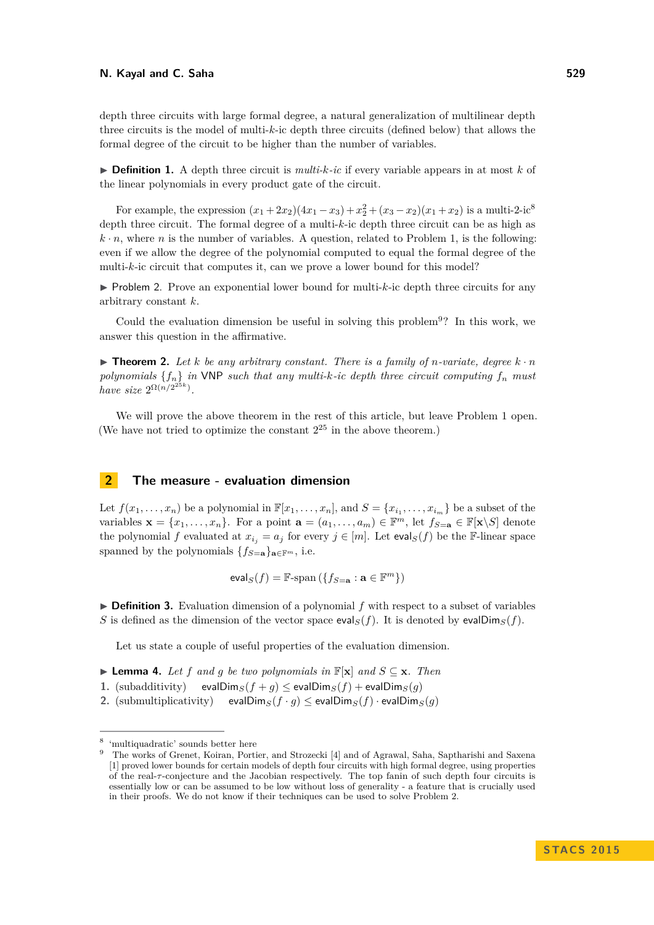depth three circuits with large formal degree, a natural generalization of multilinear depth three circuits is the model of multi-*k*-ic depth three circuits (defined below) that allows the formal degree of the circuit to be higher than the number of variables.

 $\triangleright$  **Definition 1.** A depth three circuit is *multi-k-ic* if every variable appears in at most *k* of the linear polynomials in every product gate of the circuit.

For example, the expression  $(x_1 + 2x_2)(4x_1 - x_3) + x_2^2 + (x_3 - x_2)(x_1 + x_2)$  is a multi-2-ic<sup>[8](#page-2-0)</sup> depth three circuit. The formal degree of a multi-*k*-ic depth three circuit can be as high as  $k \cdot n$ , where *n* is the number of variables. A question, related to Problem [1,](#page-1-2) is the following: even if we allow the degree of the polynomial computed to equal the formal degree of the multi-*k*-ic circuit that computes it, can we prove a lower bound for this model?

<span id="page-2-2"></span> $\triangleright$  Problem 2. Prove an exponential lower bound for multi-*k*-ic depth three circuits for any arbitrary constant *k*.

Could the evaluation dimension be useful in solving this problem<sup>[9](#page-2-1)</sup>? In this work, we answer this question in the affirmative.

<span id="page-2-4"></span> $\triangleright$  **Theorem 2.** Let *k* be any arbitrary constant. There is a family of *n*-variate, degree  $k \cdot n$ *polynomials* {*fn*} *in* VNP *such that any multi-k-ic depth three circuit computing f<sup>n</sup> must have size*  $2^{\Omega(n/2^{25k})}$ *.* 

We will prove the above theorem in the rest of this article, but leave Problem [1](#page-1-2) open. (We have not tried to optimize the constant  $2^{25}$  in the above theorem.)

## **2 The measure - evaluation dimension**

Let  $f(x_1, \ldots, x_n)$  be a polynomial in  $\mathbb{F}[x_1, \ldots, x_n]$ , and  $S = \{x_{i_1}, \ldots, x_{i_m}\}$  be a subset of the variables  $\mathbf{x} = \{x_1, \ldots, x_n\}$ . For a point  $\mathbf{a} = (a_1, \ldots, a_m) \in \mathbb{F}^m$ , let  $f_{S=\mathbf{a}} \in \mathbb{F}[\mathbf{x} \setminus S]$  denote the polynomial *f* evaluated at  $x_{i_j} = a_j$  for every  $j \in [m]$ . Let  $eval_S(f)$  be the F-linear space spanned by the polynomials  ${f_{S=a}}_{\mathbf{a}\in\mathbb{F}^m}$ , i.e.

$$
\mathsf{eval}_S(f) = \mathbb{F}\text{-span}\left(\{f_{S=\mathbf{a}} : \mathbf{a} \in \mathbb{F}^m\}\right)
$$

► **Definition 3.** Evaluation dimension of a polynomial *f* with respect to a subset of variables *S* is defined as the dimension of the vector space eval<sub>*S*</sub>(*f*). It is denoted by evalDim<sub>*S*</sub>(*f*).

Let us state a couple of useful properties of the evaluation dimension.

- <span id="page-2-3"></span>▶ **Lemma 4.** Let *f* and *g* be two polynomials in  $\mathbb{F}[\mathbf{x}]$  and  $S \subseteq \mathbf{x}$ *. Then*
- **1.** (subadditivity) evalDim<sub>*S*</sub>(*f* + *g*)  $\le$  evalDim<sub>*S*</sub>(*f*) + evalDim<sub>*S*</sub>(*g*)
- **2.** (submultiplicativity) evalDim<sub>*S*</sub>(*f* · *g*)  $\leq$  evalDim<sub>*S*</sub>(*f*) · evalDim<sub>*S*</sub>(*g*)

<span id="page-2-0"></span><sup>8</sup> 'multiquadratic' sounds better here

<span id="page-2-1"></span><sup>9</sup> The works of Grenet, Koiran, Portier, and Strozecki [\[4\]](#page-11-12) and of Agrawal, Saha, Saptharishi and Saxena [\[1\]](#page-11-13) proved lower bounds for certain models of depth four circuits with high formal degree, using properties of the real-*τ* -conjecture and the Jacobian respectively. The top fanin of such depth four circuits is essentially low or can be assumed to be low without loss of generality - a feature that is crucially used in their proofs. We do not know if their techniques can be used to solve Problem [2.](#page-2-2)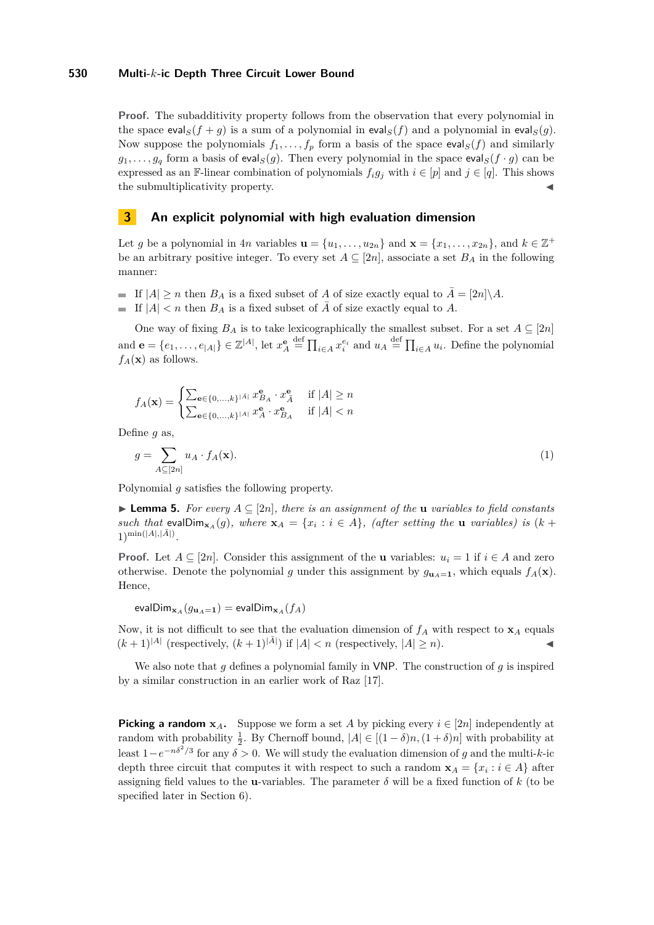**Proof.** The subadditivity property follows from the observation that every polynomial in the space eval<sub>*S*</sub>(*f* + *g*) is a sum of a polynomial in eval<sub>*S*</sub>(*f*) and a polynomial in eval<sub>*S*</sub>(*g*). Now suppose the polynomials  $f_1, \ldots, f_p$  form a basis of the space eval $S(f)$  and similarly  $g_1, \ldots, g_q$  form a basis of eval<sub>*S*</sub>(*g*). Then every polynomial in the space eval<sub>*S*</sub>(*f* · *g*) can be expressed as an F-linear combination of polynomials  $f_i g_j$  with  $i \in [p]$  and  $j \in [q]$ . This shows the submultiplicativity property.

## <span id="page-3-2"></span>**3 An explicit polynomial with high evaluation dimension**

Let *g* be a polynomial in 4*n* variables  $\mathbf{u} = \{u_1, \ldots, u_{2n}\}$  and  $\mathbf{x} = \{x_1, \ldots, x_{2n}\}$ , and  $k \in \mathbb{Z}^+$ be an arbitrary positive integer. To every set  $A \subseteq [2n]$ , associate a set  $B_A$  in the following manner:

- If  $|A| \ge n$  then  $B_A$  is a fixed subset of *A* of size exactly equal to  $\overline{A} = [2n] \setminus A$ .
- If  $|A| < n$  then  $B_A$  is a fixed subset of  $\overline{A}$  of size exactly equal to  $A$ .

One way of fixing  $B_A$  is to take lexicographically the smallest subset. For a set  $A \subseteq [2n]$ and  $\mathbf{e} = \{e_1, \ldots, e_{|A|}\} \in \mathbb{Z}^{|A|}$ , let  $x_A^{\mathbf{e}} \stackrel{\text{def}}{=} \prod_{i \in A} x_i^{e_i}$  and  $u_A \stackrel{\text{def}}{=} \prod_{i \in A} u_i$ . Define the polynomial  $f_A(\mathbf{x})$  as follows.

$$
f_A(\mathbf{x}) = \begin{cases} \sum_{\mathbf{e} \in \{0, \dots, k\}^{\lvert \bar{A} \rvert}} x^{\mathbf{e}}_{B_A} \cdot x^{\mathbf{e}}_{\bar{A}} & \text{if } \lvert A \rvert \ge n \\ \sum_{\mathbf{e} \in \{0, \dots, k\}^{\lvert A \rvert}} x^{\mathbf{e}}_A \cdot x^{\mathbf{e}}_{B_A} & \text{if } \lvert A \rvert < n \end{cases}
$$

Define *g* as,

<span id="page-3-1"></span>
$$
g = \sum_{A \subseteq [2n]} u_A \cdot f_A(\mathbf{x}).\tag{1}
$$

Polynomial *g* satisfies the following property.

<span id="page-3-0"></span>▶ **Lemma 5.** *For every*  $A ⊆ [2n]$ *, there is an assignment of the* **u** *variables to field constants such that* evalDim $_{\mathbf{x}_A}(g)$ *, where*  $\mathbf{x}_A = \{x_i : i \in A\}$ *, (after setting the* **u** *variables) is* (*k* +  $1)^{\min(|A|,|\bar{A}|)}$ .

**Proof.** Let  $A \subseteq [2n]$ . Consider this assignment of the **u** variables:  $u_i = 1$  if  $i \in A$  and zero otherwise. Denote the polynomial *g* under this assignment by  $g_{\mathbf{u}_A=1}$ , which equals  $f_A(\mathbf{x})$ . Hence,

 $\text{evalDim}_{\mathbf{x}_A}(g_{\mathbf{u}_A=\mathbf{1}}) = \text{evalDim}_{\mathbf{x}_A}(f_A)$ 

Now, it is not difficult to see that the evaluation dimension of  $f_A$  with respect to  $\mathbf{x}_A$  equals  $(k+1)^{|A|}$  (respectively,  $(k+1)^{|\overline{A}|}$ ) if  $|A| < n$  (respectively,  $|A| \ge n$ ).

We also note that *g* defines a polynomial family in VNP. The construction of *g* is inspired by a similar construction in an earlier work of Raz [\[17\]](#page-12-6).

**Picking a random**  $x_A$ . Suppose we form a set *A* by picking every  $i \in [2n]$  independently at random with probability  $\frac{1}{2}$ . By Chernoff bound,  $|A| \in [(1 - \delta)n, (1 + \delta)n]$  with probability at least  $1-e^{-n\delta^2/3}$  for any  $\delta > 0$ . We will study the evaluation dimension of *g* and the multi-*k*-ic depth three circuit that computes it with respect to such a random  $\mathbf{x}_A = \{x_i : i \in A\}$  after assigning field values to the **u**-variables. The parameter  $\delta$  will be a fixed function of  $k$  (to be specified later in Section [6\)](#page-10-0).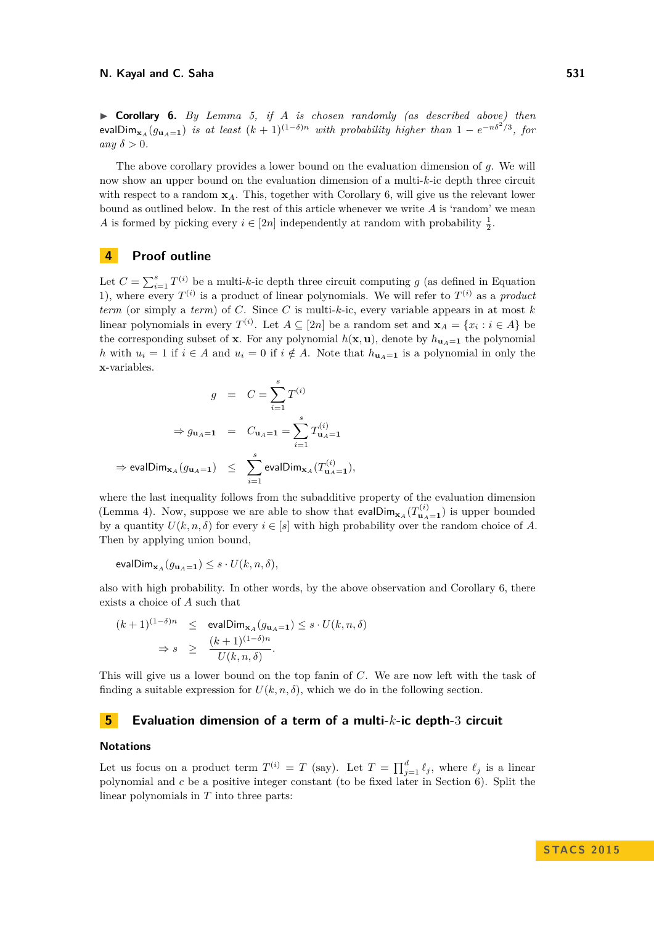<span id="page-4-0"></span>I **Corollary 6.** *By Lemma [5,](#page-3-0) if A is chosen randomly (as described above) then*  $\mathsf{evalDim}_{\mathbf{x}_A}(g_{\mathbf{u}_A=1})$  *is at least*  $(k+1)^{(1-\delta)n}$  *with probability higher than*  $1-e^{-n\delta^2/3}$ , for *any*  $\delta > 0$ *.* 

The above corollary provides a lower bound on the evaluation dimension of *g*. We will now show an upper bound on the evaluation dimension of a multi-*k*-ic depth three circuit with respect to a random **x***A*. This, together with Corollary [6,](#page-4-0) will give us the relevant lower bound as outlined below. In the rest of this article whenever we write *A* is 'random' we mean *A* is formed by picking every  $i \in [2n]$  independently at random with probability  $\frac{1}{2}$ .

## <span id="page-4-1"></span>**4 Proof outline**

Let  $C = \sum_{i=1}^{s} T^{(i)}$  be a multi-*k*-ic depth three circuit computing *g* (as defined in Equation [1\)](#page-3-1), where every  $T^{(i)}$  is a product of linear polynomials. We will refer to  $T^{(i)}$  as a *product term* (or simply a *term*) of *C*. Since *C* is multi-*k*-ic, every variable appears in at most *k* linear polynomials in every  $T^{(i)}$ . Let  $A \subseteq [2n]$  be a random set and  $\mathbf{x}_A = \{x_i : i \in A\}$  be the corresponding subset of **x**. For any polynomial  $h(\mathbf{x}, \mathbf{u})$ , denote by  $h_{\mathbf{u}_A = \mathbf{1}}$  the polynomial *h* with  $u_i = 1$  if  $i \in A$  and  $u_i = 0$  if  $i \notin A$ . Note that  $h_{\mathbf{u}_A = \mathbf{1}}$  is a polynomial in only the **x**-variables.

$$
g = C = \sum_{i=1}^{s} T^{(i)}
$$
  
\n
$$
\Rightarrow g_{\mathbf{u}_A = \mathbf{1}} = C_{\mathbf{u}_A = \mathbf{1}} = \sum_{i=1}^{s} T^{(i)}_{\mathbf{u}_A = \mathbf{1}}
$$
  
\n
$$
\Rightarrow \text{evalDim}_{\mathbf{x}_A}(g_{\mathbf{u}_A = \mathbf{1}}) \leq \sum_{i=1}^{s} \text{evalDim}_{\mathbf{x}_A}(T^{(i)}_{\mathbf{u}_A = \mathbf{1}}),
$$

where the last inequality follows from the subadditive property of the evaluation dimension (Lemma [4\)](#page-2-3). Now, suppose we are able to show that  $evalDim_{\mathbf{x}_A}(T_{\mathbf{u}_A=1}^{(i)})$  is upper bounded by a quantity  $U(k, n, \delta)$  for every  $i \in [s]$  with high probability over the random choice of *A*. Then by applying union bound,

$$
\mathsf{evalDim}_{\mathbf{x}_A}(g_{\mathbf{u}_A=\mathbf{1}}) \leq s \cdot U(k, n, \delta),
$$

also with high probability. In other words, by the above observation and Corollary [6,](#page-4-0) there exists a choice of *A* such that

$$
(k+1)^{(1-\delta)n} \le \text{evalDim}_{\mathbf{x}_A}(g_{\mathbf{u}_A=1}) \le s \cdot U(k, n, \delta)
$$
  

$$
\Rightarrow s \ge \frac{(k+1)^{(1-\delta)n}}{U(k, n, \delta)}.
$$

This will give us a lower bound on the top fanin of *C*. We are now left with the task of finding a suitable expression for  $U(k, n, \delta)$ , which we do in the following section.

## **5 Evaluation dimension of a term of a multi-***k***-ic depth-**3 **circuit**

#### **Notations**

Let us focus on a product term  $T^{(i)} = T$  (say). Let  $T = \prod_{j=1}^{d} \ell_j$ , where  $\ell_j$  is a linear polynomial and *c* be a positive integer constant (to be fixed later in Section [6\)](#page-10-0). Split the linear polynomials in *T* into three parts: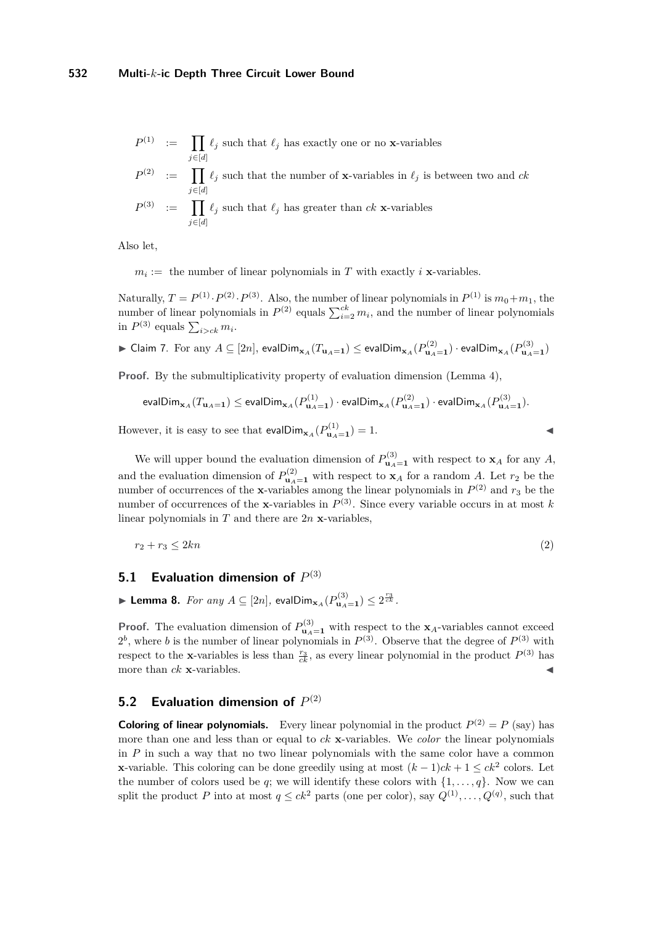*j*∈[*d*]

$$
P^{(1)} \quad := \quad \prod_{j \in [d]} \ell_j \text{ such that } \ell_j \text{ has exactly one or no } \mathbf{x}\text{-variables}
$$

$$
P^{(2)} := \prod_{j \in [d]} \ell_j
$$
 such that the number of **x**-variables in  $\ell_j$  is between two and *ck*  

$$
P^{(3)} := \prod \ell_j
$$
 such that  $\ell_j$  has greater than *ck* **x**-variables

Also let,

 $m_i :=$  the number of linear polynomials in *T* with exactly *i* **x**-variables.

Naturally,  $T = P^{(1)} \cdot P^{(2)} \cdot P^{(3)}$ . Also, the number of linear polynomials in  $P^{(1)}$  is  $m_0 + m_1$ , the number of linear polynomials in  $P^{(2)}$  equals  $\sum_{i=2}^{ck} m_i$ , and the number of linear polynomials in  $P^{(3)}$  equals  $\sum_{i>ck} m_i$ .

<span id="page-5-0"></span> $\blacktriangleright$  Claim 7. For any  $A\subseteq [2n],$  eval $\mathsf{Dim}_{{\bf x}_A}(T_{{\bf u}_A={\bf 1}})\leq \mathsf{evalDim}_{{\bf x}_A}(P_{\bf u}_A={\bf 1})\cdot \mathsf{evalDim}_{{\bf x}_A}(P_{\bf u}_A={\bf 1})$ 

**Proof.** By the submultiplicativity property of evaluation dimension (Lemma [4\)](#page-2-3),

$$
\text{evalDim}_{\mathbf{x}_A}(T_{\mathbf{u}_A=\mathbf{1}}) \le \text{evalDim}_{\mathbf{x}_A}(P_{\mathbf{u}_A=\mathbf{1}}^{(1)}) \cdot \text{evalDim}_{\mathbf{x}_A}(P_{\mathbf{u}_A=\mathbf{1}}^{(2)}) \cdot \text{evalDim}_{\mathbf{x}_A}(P_{\mathbf{u}_A=\mathbf{1}}^{(3)})
$$

However, it is easy to see that  $evalDim_{\mathbf{x}_A}(P_{\mathbf{u}_A=1}^{(1)})=1.$ 

We will upper bound the evaluation dimension of  $P_{\mathbf{u}_A=1}^{(3)}$  with respect to  $\mathbf{x}_A$  for any *A*, and the evaluation dimension of  $P_{\mathbf{u}_A=1}^{(2)}$  with respect to  $\mathbf{x}_A$  for a random *A*. Let  $r_2$  be the number of occurrences of the **x**-variables among the linear polynomials in  $P^{(2)}$  and  $r_3$  be the number of occurrences of the **x**-variables in  $P^{(3)}$ . Since every variable occurs in at most *k* linear polynomials in  $T$  and there are  $2n$  **x**-variables,

$$
r_2 + r_3 \le 2kn \tag{2}
$$

# **5.1 Evaluation dimension of**  $P^{(3)}$

<span id="page-5-1"></span>▶ **Lemma 8.** *For any*  $A \subseteq [2n]$ , evalDim<sub> $\mathbf{x}_A(P_{\mathbf{u}_A=1}^{(3)}) \leq 2^{\frac{r_3}{ck}}$ .</sub>

**Proof.** The evaluation dimension of  $P_{\mathbf{u}_A=1}^{(3)}$  with respect to the **x**<sub>*A*</sub>-variables cannot exceed  $2^b$ , where *b* is the number of linear polynomials in  $P^{(3)}$ . Observe that the degree of  $P^{(3)}$  with respect to the **x**-variables is less than  $\frac{r_3}{ck}$ , as every linear polynomial in the product  $P^{(3)}$  has more than  $ck$  **x**-variables.

# **5.2 Evaluation dimension of**  $P^{(2)}$

**Coloring of linear polynomials.** Every linear polynomial in the product  $P^{(2)} = P$  (say) has more than one and less than or equal to *ck* **x**-variables. We *color* the linear polynomials in *P* in such a way that no two linear polynomials with the same color have a common **x**-variable. This coloring can be done greedily using at most  $(k-1)ck + 1 \leq ck^2$  colors. Let the number of colors used be *q*; we will identify these colors with  $\{1, \ldots, q\}$ . Now we can split the product *P* into at most  $q \leq ck^2$  parts (one per color), say  $Q^{(1)}, \ldots, Q^{(q)}$ , such that

<span id="page-5-2"></span>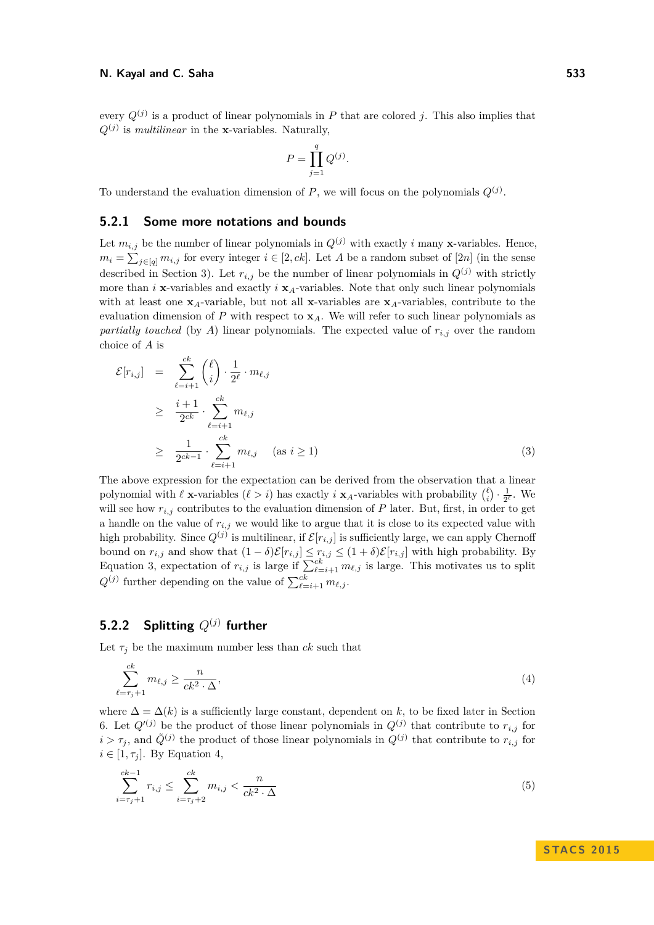every  $Q^{(j)}$  is a product of linear polynomials in P that are colored j. This also implies that  $Q^{(j)}$  is *multilinear* in the **x**-variables. Naturally,

$$
P = \prod_{j=1}^{q} Q^{(j)}.
$$

To understand the evaluation dimension of  $P$ , we will focus on the polynomials  $Q^{(j)}$ .

## **5.2.1 Some more notations and bounds**

Let  $m_{i,j}$  be the number of linear polynomials in  $Q^{(j)}$  with exactly *i* many **x**-variables. Hence,  $m_i = \sum_{j \in [q]} m_{i,j}$  for every integer  $i \in [2, ck]$ . Let *A* be a random subset of [2*n*] (in the sense described in Section [3\)](#page-3-2). Let  $r_{i,j}$  be the number of linear polynomials in  $Q^{(j)}$  with strictly more than *i* **x**-variables and exactly *i*  $\mathbf{x}_A$ -variables. Note that only such linear polynomials with at least one **x***A*-variable, but not all **x**-variables are **x***A*-variables, contribute to the evaluation dimension of  $P$  with respect to  $\mathbf{x}_A$ . We will refer to such linear polynomials as *partially touched* (by *A*) linear polynomials. The expected value of  $r_{i,j}$  over the random choice of *A* is

<span id="page-6-0"></span>
$$
\mathcal{E}[r_{i,j}] = \sum_{\ell=i+1}^{ck} {\ell \choose i} \cdot \frac{1}{2^{\ell}} \cdot m_{\ell,j}
$$
  
\n
$$
\geq \frac{i+1}{2^{ck}} \cdot \sum_{\ell=i+1}^{ck} m_{\ell,j}
$$
  
\n
$$
\geq \frac{1}{2^{ck-1}} \cdot \sum_{\ell=i+1}^{ck} m_{\ell,j} \quad (as \ i \geq 1)
$$
 (3)

The above expression for the expectation can be derived from the observation that a linear polynomial with  $\ell$  **x**-variables  $(\ell > i)$  has exactly *i* **x**<sub>*A*</sub>-variables with probability  $\binom{\ell}{i} \cdot \frac{1}{2^{\ell}}$ . We will see how  $r_{i,j}$  contributes to the evaluation dimension of  $P$  later. But, first, in order to get a handle on the value of  $r_{i,j}$  we would like to argue that it is close to its expected value with high probability. Since  $Q^{(j)}$  is multilinear, if  $\mathcal{E}[r_{i,j}]$  is sufficiently large, we can apply Chernoff bound on  $r_{i,j}$  and show that  $(1 - \delta) \mathcal{E}[r_{i,j}] \leq r_{i,j} \leq (1 + \delta) \mathcal{E}[r_{i,j}]$  with high probability. By Equation [3,](#page-6-0) expectation of  $r_{i,j}$  is large if  $\sum_{\ell=i+1}^{ck} m_{\ell,j}$  is large. This motivates us to split  $Q^{(j)}$  further depending on the value of  $\sum_{\ell=i+1}^{ck} m_{\ell,j}$ .

# **5.2.2 Splitting** *Q*(*j*) **further**

Let  $\tau_i$  be the maximum number less than *ck* such that

<span id="page-6-1"></span>
$$
\sum_{\ell=\tau_j+1}^{ck} m_{\ell,j} \ge \frac{n}{ck^2 \cdot \Delta},\tag{4}
$$

where  $\Delta = \Delta(k)$  is a sufficiently large constant, dependent on k, to be fixed later in Section [6.](#page-10-0) Let  $Q^{(j)}$  be the product of those linear polynomials in  $Q^{(j)}$  that contribute to  $r_{i,j}$  for  $i > \tau_j$ , and  $\tilde{Q}^{(j)}$  the product of those linear polynomials in  $Q^{(j)}$  that contribute to  $r_{i,j}$  for  $i \in [1, \tau_i]$ . By Equation [4,](#page-6-1)

<span id="page-6-2"></span>
$$
\sum_{i=\tau_j+1}^{ck-1} r_{i,j} \le \sum_{i=\tau_j+2}^{ck} m_{i,j} < \frac{n}{ck^2 \cdot \Delta} \tag{5}
$$

**STACS 2015**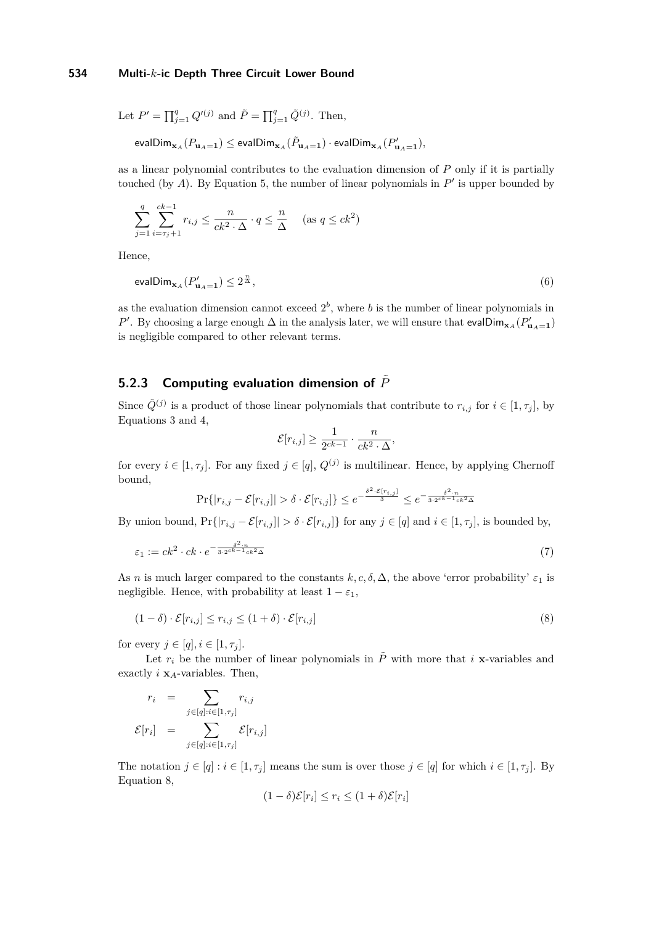Let  $P' = \prod_{j=1}^{q} Q'^{(j)}$  and  $\tilde{P} = \prod_{j=1}^{q} \tilde{Q}^{(j)}$ . Then,

 $\mathsf{evalDim}_{\mathbf{x}_A}(P_{\mathbf{u}_A=\mathbf{1}}) \leq \mathsf{evalDim}_{\mathbf{x}_A}(\tilde{P}_{\mathbf{u}_A=\mathbf{1}}) \cdot \mathsf{evalDim}_{\mathbf{x}_A}(P'_{\mathbf{u}_A=\mathbf{1}}),$ 

as a linear polynomial contributes to the evaluation dimension of *P* only if it is partially touched (by  $A$ ). By Equation [5,](#page-6-2) the number of linear polynomials in  $P'$  is upper bounded by

$$
\sum_{j=1}^{q} \sum_{i=\tau_j+1}^{ck-1} r_{i,j} \le \frac{n}{ck^2 \cdot \Delta} \cdot q \le \frac{n}{\Delta} \quad (\text{as } q \le ck^2)
$$

Hence,

<span id="page-7-1"></span>
$$
\text{evalDim}_{\mathbf{x}_A}(P'_{\mathbf{u}_A=\mathbf{1}}) \le 2^{\frac{n}{\Delta}},\tag{6}
$$

as the evaluation dimension cannot exceed  $2^b$ , where *b* is the number of linear polynomials in *P*<sup>'</sup>. By choosing a large enough  $\Delta$  in the analysis later, we will ensure that evalDim<sub>**x***A*</sub> ( $P'_{\mathbf{u}_A=1}$ ) is negligible compared to other relevant terms.

# **5.2.3** Computing evaluation dimension of  $\tilde{P}$

Since  $\tilde{Q}^{(j)}$  is a product of those linear polynomials that contribute to  $r_{i,j}$  for  $i \in [1, \tau_j]$ , by Equations [3](#page-6-0) and [4,](#page-6-1)

<span id="page-7-2"></span><span id="page-7-0"></span>
$$
\mathcal{E}[r_{i,j}] \ge \frac{1}{2^{ck-1}} \cdot \frac{n}{ck^2 \cdot \Delta},
$$

for every  $i \in [1, \tau_j]$ . For any fixed  $j \in [q]$ ,  $Q^{(j)}$  is multilinear. Hence, by applying Chernoff bound,

$$
\Pr\{|r_{i,j} - \mathcal{E}[r_{i,j}]| > \delta \cdot \mathcal{E}[r_{i,j}]\} \le e^{-\frac{\delta^2 \cdot \mathcal{E}[r_{i,j}]}{3}} \le e^{-\frac{\delta^2 \cdot n}{3 \cdot 2^{ck-1}ck^2\Delta}}
$$

By union bound,  $Pr\{|r_{i,j} - \mathcal{E}[r_{i,j}]| > \delta \cdot \mathcal{E}[r_{i,j}]\}$  for any  $j \in [q]$  and  $i \in [1, \tau_j]$ , is bounded by,

$$
\varepsilon_1 := ck^2 \cdot ck \cdot e^{-\frac{\delta^2 \cdot n}{3 \cdot 2ck - 1} \cdot ck^2 \Delta} \tag{7}
$$

As *n* is much larger compared to the constants  $k, c, \delta, \Delta$ , the above 'error probability'  $\varepsilon_1$  is negligible. Hence, with probability at least  $1 - \varepsilon_1$ ,

$$
(1 - \delta) \cdot \mathcal{E}[r_{i,j}] \le r_{i,j} \le (1 + \delta) \cdot \mathcal{E}[r_{i,j}]
$$
\n
$$
(8)
$$

for every  $j \in [q], i \in [1, \tau_i]$ .

Let  $r_i$  be the number of linear polynomials in  $\tilde{P}$  with more that *i* **x**-variables and exactly *i* **x***A*-variables. Then,

$$
r_i = \sum_{j \in [q]: i \in [1, \tau_j]} r_{i,j}
$$

$$
\mathcal{E}[r_i] = \sum_{j \in [q]: i \in [1, \tau_j]} \mathcal{E}[r_{i,j}]
$$

The notation  $j \in [q] : i \in [1, \tau_j]$  means the sum is over those  $j \in [q]$  for which  $i \in [1, \tau_j]$ . By Equation [8,](#page-7-0)

$$
(1 - \delta)\mathcal{E}[r_i] \le r_i \le (1 + \delta)\mathcal{E}[r_i]
$$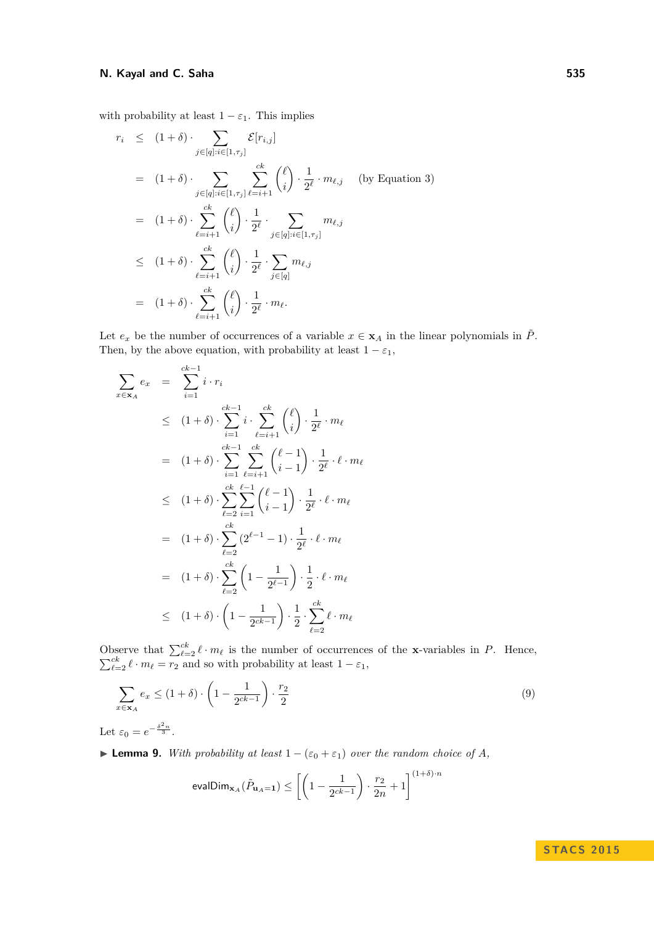### **N. Kayal and C. Saha** 535

with probability at least  $1 - \varepsilon_1$ . This implies

$$
r_i \leq (1+\delta) \cdot \sum_{j \in [q]: i \in [1, \tau_j]} \mathcal{E}[r_{i,j}]
$$
  
\n
$$
= (1+\delta) \cdot \sum_{j \in [q]: i \in [1, \tau_j]} \sum_{\ell=i+1}^{ck} {\ell \choose i} \cdot \frac{1}{2^{\ell}} \cdot m_{\ell, j} \quad \text{(by Equation 3)}
$$
  
\n
$$
= (1+\delta) \cdot \sum_{\ell=i+1}^{ck} {\ell \choose i} \cdot \frac{1}{2^{\ell}} \cdot \sum_{j \in [q]: i \in [1, \tau_j]} m_{\ell, j}
$$
  
\n
$$
\leq (1+\delta) \cdot \sum_{\ell=i+1}^{ck} {\ell \choose i} \cdot \frac{1}{2^{\ell}} \cdot \sum_{j \in [q]} m_{\ell, j}
$$
  
\n
$$
= (1+\delta) \cdot \sum_{\ell=i+1}^{ck} {\ell \choose i} \cdot \frac{1}{2^{\ell}} \cdot m_{\ell}.
$$

Let  $e_x$  be the number of occurrences of a variable  $x \in \mathbf{x}_A$  in the linear polynomials in  $\tilde{P}$ . Then, by the above equation, with probability at least  $1 - \varepsilon_1$ ,

$$
\sum_{x \in \mathbf{x}_A} e_x = \sum_{i=1}^{ck-1} i \cdot r_i
$$
\n
$$
\leq (1+\delta) \cdot \sum_{i=1}^{ck-1} i \cdot \sum_{\ell=i+1}^{ck} {\ell \choose i} \cdot \frac{1}{2^{\ell}} \cdot m_{\ell}
$$
\n
$$
= (1+\delta) \cdot \sum_{i=1}^{ck-1} \sum_{\ell=i+1}^{ck} {\ell-1 \choose i-1} \cdot \frac{1}{2^{\ell}} \cdot \ell \cdot m_{\ell}
$$
\n
$$
\leq (1+\delta) \cdot \sum_{\ell=2}^{ck} \sum_{i=1}^{\ell-1} {\ell-1 \choose i-1} \cdot \frac{1}{2^{\ell}} \cdot \ell \cdot m_{\ell}
$$
\n
$$
= (1+\delta) \cdot \sum_{\ell=2}^{ck} (2^{\ell-1}-1) \cdot \frac{1}{2^{\ell}} \cdot \ell \cdot m_{\ell}
$$
\n
$$
= (1+\delta) \cdot \sum_{\ell=2}^{ck} \left(1 - \frac{1}{2^{\ell-1}}\right) \cdot \frac{1}{2} \cdot \ell \cdot m_{\ell}
$$
\n
$$
\leq (1+\delta) \cdot \left(1 - \frac{1}{2^{ck-1}}\right) \cdot \frac{1}{2} \cdot \sum_{\ell=2}^{ck} \ell \cdot m_{\ell}
$$

Observe that  $\sum_{\ell=2}^{ck} \ell \cdot m_{\ell}$  is the number of occurrences of the **x**-variables in *P*. Hence,  $\sum_{\ell=2}^{ck} \ell \cdot m_{\ell} = \overline{r_2}$  and so with probability at least  $1 - \varepsilon_1$ ,

$$
\sum_{x \in \mathbf{x}_A} e_x \le (1 + \delta) \cdot \left(1 - \frac{1}{2^{ck-1}}\right) \cdot \frac{r_2}{2} \tag{9}
$$

Let  $\varepsilon_0 = e^{-\frac{\delta^2 n}{3}}$ .

**► Lemma 9.** *With probability at least*  $1 - (\varepsilon_0 + \varepsilon_1)$  *over the random choice of A*,

<span id="page-8-0"></span>
$$
\text{evalDim}_{\mathbf{x}_A}(\tilde{P}_{\mathbf{u}_A=\mathbf{1}}) \le \left[ \left( 1 - \frac{1}{2^{ck-1}} \right) \cdot \frac{r_2}{2n} + 1 \right]^{(1+\delta)\cdot n}
$$

## **STACS 2015**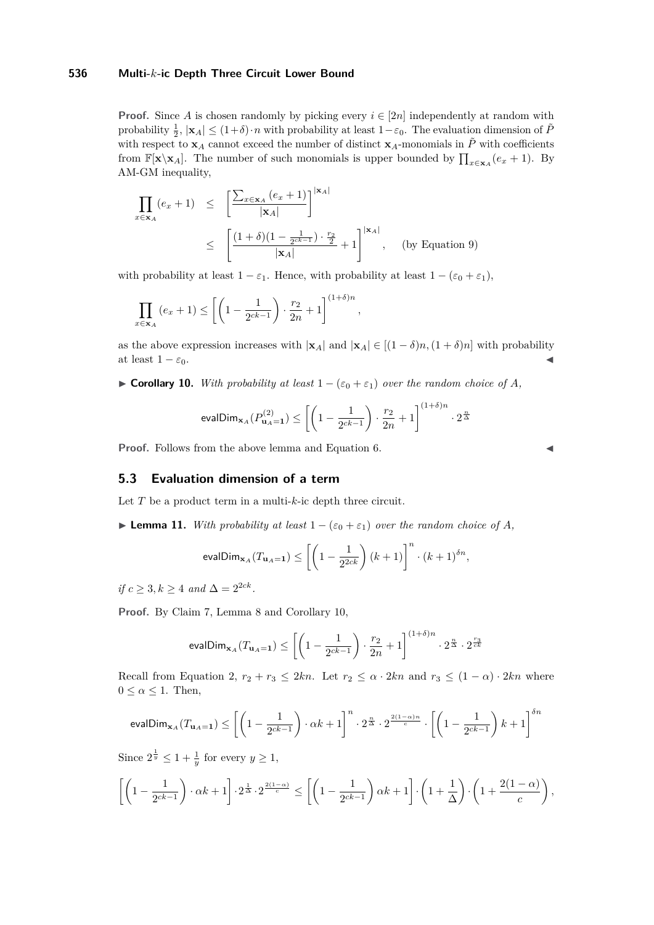**Proof.** Since *A* is chosen randomly by picking every  $i \in [2n]$  independently at random with probability  $\frac{1}{2}$ ,  $|\mathbf{x}_A| \leq (1+\delta) \cdot n$  with probability at least  $1-\varepsilon_0$ . The evaluation dimension of  $\tilde{P}$ with respect to  $\mathbf{x}_A$  cannot exceed the number of distinct  $\mathbf{x}_A$ -monomials in  $\tilde{P}$  with coefficients from  $\mathbb{F}[\mathbf{x} \setminus \mathbf{x}_A]$ . The number of such monomials is upper bounded by  $\prod_{x \in \mathbf{x}_A} (e_x + 1)$ . By AM-GM inequality,

$$
\prod_{x \in \mathbf{x}_A} (e_x + 1) \le \left[ \frac{\sum_{x \in \mathbf{x}_A} (e_x + 1)}{|\mathbf{x}_A|} \right]^{|\mathbf{x}_A|}
$$
\n
$$
\le \left[ \frac{(1 + \delta)(1 - \frac{1}{2^{ck-1}}) \cdot \frac{r_2}{2}}{|\mathbf{x}_A|} + 1 \right]^{|\mathbf{x}_A|}, \quad \text{(by Equation 9)}
$$

with probability at least  $1 - \varepsilon_1$ . Hence, with probability at least  $1 - (\varepsilon_0 + \varepsilon_1)$ ,

$$
\prod_{x \in \mathbf{x}_A} (e_x + 1) \le \left[ \left( 1 - \frac{1}{2^{ck-1}} \right) \cdot \frac{r_2}{2n} + 1 \right]^{(1+\delta)n}
$$

as the above expression increases with  $|\mathbf{x}_A|$  and  $|\mathbf{x}_A| \in [(1-\delta)n, (1+\delta)n]$  with probability at least  $1 - \varepsilon_0$ .

*,*

<span id="page-9-0"></span>**► Corollary 10.** *With probability at least*  $1 - (\varepsilon_0 + \varepsilon_1)$  *over the random choice of A*,

$$
\text{evalDim}_{\mathbf{x}_A}(P_{\mathbf{u}_A=1}^{(2)}) \leq \left[\left(1-\frac{1}{2^{ck-1}}\right)\cdot \frac{r_2}{2n}+1\right]^{(1+\delta)n}\cdot 2^{\frac{n}{\Delta}}
$$

**Proof.** Follows from the above lemma and Equation [6.](#page-7-1)

$$
\blacktriangleleft
$$

## **5.3 Evaluation dimension of a term**

Let *T* be a product term in a multi-*k*-ic depth three circuit.

<span id="page-9-1"></span>► **Lemma 11.** *With probability at least*  $1 - (\varepsilon_0 + \varepsilon_1)$  *over the random choice of A*,

$$
\text{evalDim}_{\mathbf{x}_A}(T_{\mathbf{u}_A=\mathbf{1}}) \le \left[ \left( 1 - \frac{1}{2^{2ck}} \right) (k+1) \right]^n \cdot (k+1)^{\delta n},
$$

 $if \ c \geq 3, k \geq 4 \ and \ \Delta = 2^{2ck}$ .

**Proof.** By Claim [7,](#page-5-0) Lemma [8](#page-5-1) and Corollary [10,](#page-9-0)

$$
\mathsf{evalDim}_{\mathbf{x}_A}(T_{\mathbf{u}_A=\mathbf{1}})\leq \left[\left(1-\frac{1}{2^{ck-1}}\right)\cdot \frac{r_2}{2n}+1\right]^{(1+\delta)n}\cdot 2^{\frac{n}{\Delta}}\cdot 2^{\frac{r_3}{ck}}
$$

Recall from Equation [2,](#page-5-2)  $r_2 + r_3 \leq 2kn$ . Let  $r_2 \leq \alpha \cdot 2kn$  and  $r_3 \leq (1 - \alpha) \cdot 2kn$  where  $0 \leq \alpha \leq 1$ . Then,

$$
\text{evalDim}_{\mathbf{x}_A}(T_{\mathbf{u}_A=\mathbf{1}})\leq \left[\left(1-\frac{1}{2^{ck-1}}\right)\cdot \alpha k+1\right]^{n}\cdot 2^{\frac{n}{\Delta}}\cdot 2^{\frac{2(1-\alpha)n}{c}}\cdot \left[\left(1-\frac{1}{2^{ck-1}}\right)k+1\right]^{\delta n}
$$

Since  $2^{\frac{1}{y}} \leq 1 + \frac{1}{y}$  for every  $y \geq 1$ ,

$$
\left[\left(1-\frac{1}{2^{ck-1}}\right)\cdot \alpha k+1\right]\cdot 2^{\frac{1}{\Delta}}\cdot 2^{\frac{2(1-\alpha)}{c}} \leq \left[\left(1-\frac{1}{2^{ck-1}}\right)\alpha k+1\right]\cdot \left(1+\frac{1}{\Delta}\right)\cdot \left(1+\frac{2(1-\alpha)}{c}\right),
$$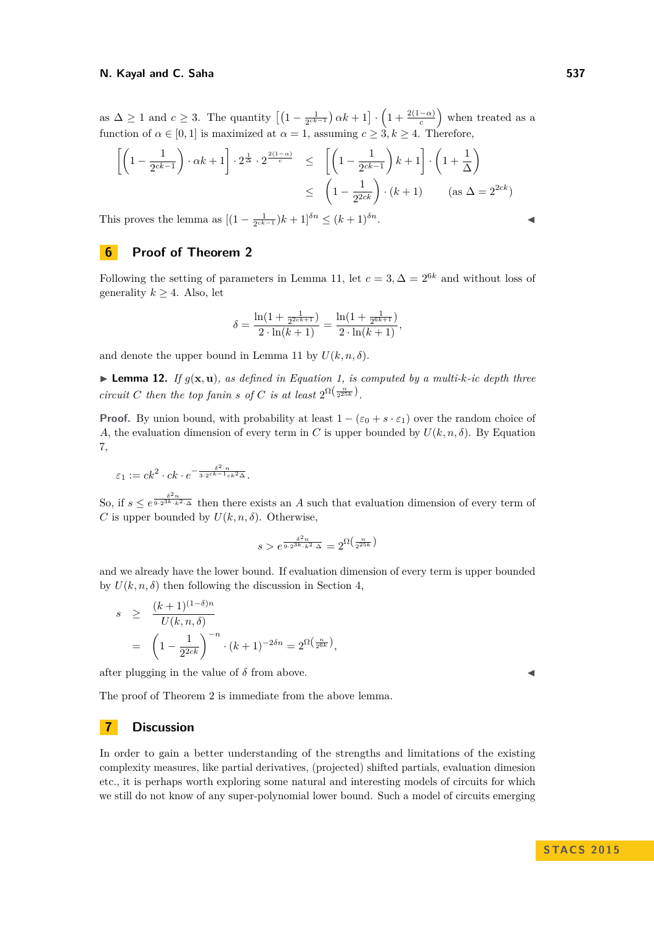as  $\Delta \geq 1$  and  $c \geq 3$ . The quantity  $\left[\left(1 - \frac{1}{2^{ck-1}}\right)\alpha k + 1\right] \cdot \left(1 + \frac{2(1-\alpha)}{c}\right)$  when treated as a function of  $\alpha \in [0, 1]$  is maximized at  $\alpha = 1$ , assuming  $c \geq 3, k \geq 4$ . Therefore,

$$
\left[ \left( 1 - \frac{1}{2^{ck-1}} \right) \cdot \alpha k + 1 \right] \cdot 2^{\frac{1}{\Delta}} \cdot 2^{\frac{2(1-\alpha)}{c}} \le \left[ \left( 1 - \frac{1}{2^{ck-1}} \right) k + 1 \right] \cdot \left( 1 + \frac{1}{\Delta} \right)
$$

$$
\le \left( 1 - \frac{1}{2^{2ck}} \right) \cdot (k+1) \qquad (\text{as } \Delta = 2^{2ck})
$$

This proves the lemma as  $[(1 - \frac{1}{2^{ck-1}})k + 1]^{\delta n} \le (k+1)^{\delta n}$ .

## <span id="page-10-0"></span>**6 Proof of Theorem [2](#page-2-4)**

Following the setting of parameters in Lemma [11,](#page-9-1) let  $c = 3, \Delta = 2^{6k}$  and without loss of generality  $k \geq 4$ . Also, let

$$
\delta = \frac{\ln(1 + \frac{1}{2^{2ck+1}})}{2 \cdot \ln(k+1)} = \frac{\ln(1 + \frac{1}{2^{6k+1}})}{2 \cdot \ln(k+1)},
$$

and denote the upper bound in Lemma [11](#page-9-1) by  $U(k, n, \delta)$ .

 $\blacktriangleright$  **Lemma 12.** *If*  $g(\mathbf{x}, \mathbf{u})$ *, as defined in Equation [1,](#page-3-1) is computed by a multi-k-ic depth three circuit C then the top fanin s of C is at least*  $2^{\Omega(\frac{n}{2^{25k}})}$ .

**Proof.** By union bound, with probability at least  $1 - (\varepsilon_0 + s \cdot \varepsilon_1)$  over the random choice of *A*, the evaluation dimension of every term in *C* is upper bounded by  $U(k, n, \delta)$ . By Equation [7,](#page-7-2)

$$
\varepsilon_1 := ck^2 \cdot ck \cdot e^{-\frac{\delta^2 \cdot n}{3 \cdot 2^{ck-1}ck^2\Delta}}.
$$

So, if  $s \leq e^{\frac{\delta^2 n}{9 \cdot 2^{3k} \cdot k^2 \cdot \Delta}}$  then there exists an *A* such that evaluation dimension of every term of *C* is upper bounded by  $U(k, n, \delta)$ . Otherwise,

$$
s > e^{\frac{\delta^2 n}{9 \cdot 2^{3k} \cdot k^2 \cdot \Delta}} = 2^{\Omega\left(\frac{n}{2^{25k}}\right)}
$$

and we already have the lower bound. If evaluation dimension of every term is upper bounded by  $U(k, n, \delta)$  then following the discussion in Section [4,](#page-4-1)

$$
s \ge \frac{(k+1)^{(1-\delta)n}}{U(k,n,\delta)}
$$
  
=  $\left(1 - \frac{1}{2^{2ck}}\right)^{-n} \cdot (k+1)^{-2\delta n} = 2^{\Omega\left(\frac{n}{2^{6k}}\right)},$ 

after plugging in the value of  $\delta$  from above.

The proof of Theorem [2](#page-2-4) is immediate from the above lemma.

#### **7 Discussion**

In order to gain a better understanding of the strengths and limitations of the existing complexity measures, like partial derivatives, (projected) shifted partials, evaluation dimesion etc., it is perhaps worth exploring some natural and interesting models of circuits for which we still do not know of any super-polynomial lower bound. Such a model of circuits emerging

**STACS 2015**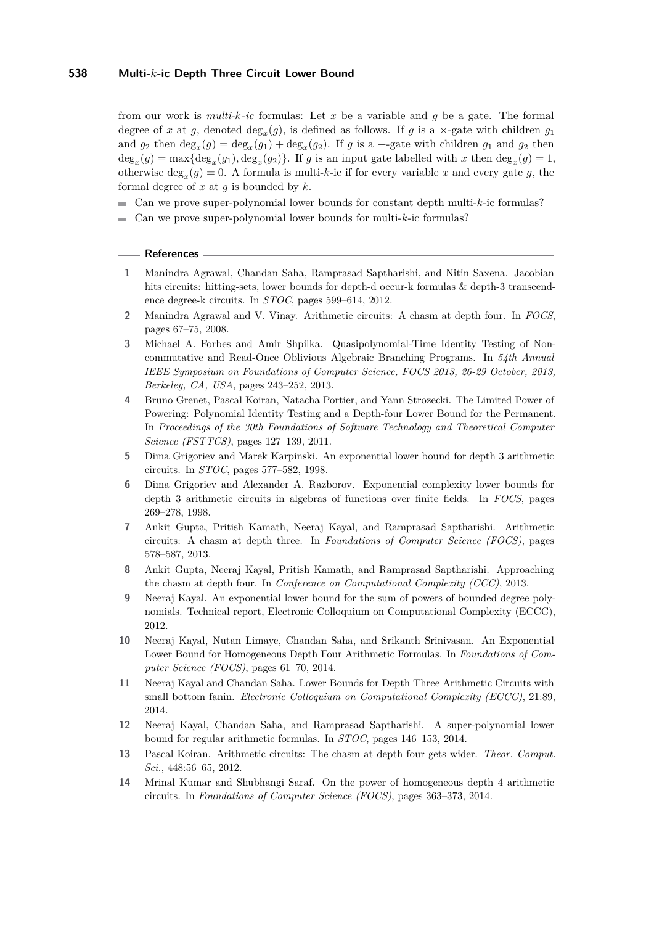from our work is *multi-k-ic* formulas: Let *x* be a variable and *g* be a gate. The formal degree of *x* at *g*, denoted  $\text{deg}_x(g)$ , is defined as follows. If *g* is a  $\times$ -gate with children *g*<sub>1</sub> and  $g_2$  then  $\deg_x(g) = \deg_x(g_1) + \deg_x(g_2)$ . If *g* is a +-gate with children  $g_1$  and  $g_2$  then  $deg_x(g) = max{deg_x(g_1), deg_x(g_2)}$ . If *g* is an input gate labelled with *x* then  $deg_x(g) = 1$ , otherwise  $\deg_x(g) = 0$ . A formula is multi-k-ic if for every variable x and every gate g, the formal degree of *x* at *g* is bounded by *k*.

- Can we prove super-polynomial lower bounds for constant depth multi-*k*-ic formulas?
- Can we prove super-polynomial lower bounds for multi-*k*-ic formulas?

#### **References**

- <span id="page-11-13"></span>**1** Manindra Agrawal, Chandan Saha, Ramprasad Saptharishi, and Nitin Saxena. Jacobian hits circuits: hitting-sets, lower bounds for depth-d occur-k formulas & depth-3 transcendence degree-k circuits. In *STOC*, pages 599–614, 2012.
- <span id="page-11-1"></span>**2** Manindra Agrawal and V. Vinay. Arithmetic circuits: A chasm at depth four. In *FOCS*, pages 67–75, 2008.
- <span id="page-11-11"></span>**3** Michael A. Forbes and Amir Shpilka. Quasipolynomial-Time Identity Testing of Noncommutative and Read-Once Oblivious Algebraic Branching Programs. In *54th Annual IEEE Symposium on Foundations of Computer Science, FOCS 2013, 26-29 October, 2013, Berkeley, CA, USA*, pages 243–252, 2013.
- <span id="page-11-12"></span>**4** Bruno Grenet, Pascal Koiran, Natacha Portier, and Yann Strozecki. The Limited Power of Powering: Polynomial Identity Testing and a Depth-four Lower Bound for the Permanent. In *Proceedings of the 30th Foundations of Software Technology and Theoretical Computer Science (FSTTCS)*, pages 127–139, 2011.
- <span id="page-11-8"></span>**5** Dima Grigoriev and Marek Karpinski. An exponential lower bound for depth 3 arithmetic circuits. In *STOC*, pages 577–582, 1998.
- <span id="page-11-7"></span>**6** Dima Grigoriev and Alexander A. Razborov. Exponential complexity lower bounds for depth 3 arithmetic circuits in algebras of functions over finite fields. In *FOCS*, pages 269–278, 1998.
- <span id="page-11-0"></span>**7** Ankit Gupta, Pritish Kamath, Neeraj Kayal, and Ramprasad Saptharishi. Arithmetic circuits: A chasm at depth three. In *Foundations of Computer Science (FOCS)*, pages 578–587, 2013.
- <span id="page-11-9"></span>**8** Ankit Gupta, Neeraj Kayal, Pritish Kamath, and Ramprasad Saptharishi. Approaching the chasm at depth four. In *Conference on Computational Complexity (CCC)*, 2013.
- <span id="page-11-3"></span>**9** Neeraj Kayal. An exponential lower bound for the sum of powers of bounded degree polynomials. Technical report, Electronic Colloquium on Computational Complexity (ECCC), 2012.
- <span id="page-11-4"></span>**10** Neeraj Kayal, Nutan Limaye, Chandan Saha, and Srikanth Srinivasan. An Exponential Lower Bound for Homogeneous Depth Four Arithmetic Formulas. In *Foundations of Computer Science (FOCS)*, pages 61–70, 2014.
- <span id="page-11-6"></span>**11** Neeraj Kayal and Chandan Saha. Lower Bounds for Depth Three Arithmetic Circuits with small bottom fanin. *Electronic Colloquium on Computational Complexity (ECCC)*, 21:89, 2014.
- <span id="page-11-10"></span>**12** Neeraj Kayal, Chandan Saha, and Ramprasad Saptharishi. A super-polynomial lower bound for regular arithmetic formulas. In *STOC*, pages 146–153, 2014.
- <span id="page-11-2"></span>**13** Pascal Koiran. Arithmetic circuits: The chasm at depth four gets wider. *Theor. Comput. Sci.*, 448:56–65, 2012.
- <span id="page-11-5"></span>**14** Mrinal Kumar and Shubhangi Saraf. On the power of homogeneous depth 4 arithmetic circuits. In *Foundations of Computer Science (FOCS)*, pages 363–373, 2014.